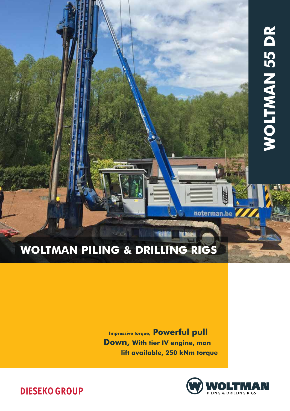# **WOLTMAN 55 DR** Woltman 55 DR

# Woltman Piling & Drilling rigs

Impressive torque, Powerful pull Down, With tier IV engine, man lift available, 250 kNm torque



noterman.be

**DIESEKO GROUP**